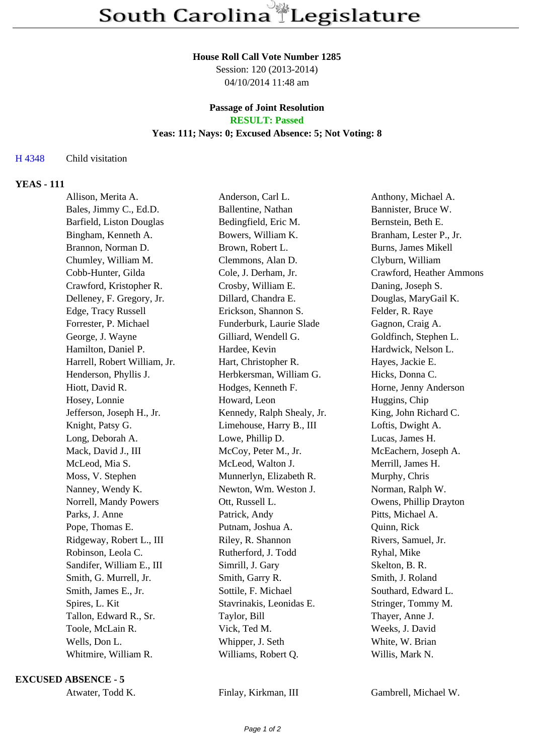#### **House Roll Call Vote Number 1285**

Session: 120 (2013-2014) 04/10/2014 11:48 am

# **Passage of Joint Resolution**

# **RESULT: Passed**

## **Yeas: 111; Nays: 0; Excused Absence: 5; Not Voting: 8**

#### H 4348 Child visitation

#### **YEAS - 111**

| Allison, Merita A.           | Anderson, Carl L.          | Anthony, Michael A.      |
|------------------------------|----------------------------|--------------------------|
| Bales, Jimmy C., Ed.D.       | Ballentine, Nathan         | Bannister, Bruce W.      |
| Barfield, Liston Douglas     | Bedingfield, Eric M.       | Bernstein, Beth E.       |
| Bingham, Kenneth A.          | Bowers, William K.         | Branham, Lester P., Jr.  |
| Brannon, Norman D.           | Brown, Robert L.           | Burns, James Mikell      |
| Chumley, William M.          | Clemmons, Alan D.          | Clyburn, William         |
| Cobb-Hunter, Gilda           | Cole, J. Derham, Jr.       | Crawford, Heather Ammons |
| Crawford, Kristopher R.      | Crosby, William E.         | Daning, Joseph S.        |
| Delleney, F. Gregory, Jr.    | Dillard, Chandra E.        | Douglas, MaryGail K.     |
| Edge, Tracy Russell          | Erickson, Shannon S.       | Felder, R. Raye          |
| Forrester, P. Michael        | Funderburk, Laurie Slade   | Gagnon, Craig A.         |
| George, J. Wayne             | Gilliard, Wendell G.       | Goldfinch, Stephen L.    |
| Hamilton, Daniel P.          | Hardee, Kevin              | Hardwick, Nelson L.      |
| Harrell, Robert William, Jr. | Hart, Christopher R.       | Hayes, Jackie E.         |
| Henderson, Phyllis J.        | Herbkersman, William G.    | Hicks, Donna C.          |
| Hiott, David R.              | Hodges, Kenneth F.         | Horne, Jenny Anderson    |
| Hosey, Lonnie                | Howard, Leon               | Huggins, Chip            |
| Jefferson, Joseph H., Jr.    | Kennedy, Ralph Shealy, Jr. | King, John Richard C.    |
| Knight, Patsy G.             | Limehouse, Harry B., III   | Loftis, Dwight A.        |
| Long, Deborah A.             | Lowe, Phillip D.           | Lucas, James H.          |
| Mack, David J., III          | McCoy, Peter M., Jr.       | McEachern, Joseph A.     |
| McLeod, Mia S.               | McLeod, Walton J.          | Merrill, James H.        |
| Moss, V. Stephen             | Munnerlyn, Elizabeth R.    | Murphy, Chris            |
| Nanney, Wendy K.             | Newton, Wm. Weston J.      | Norman, Ralph W.         |
| Norrell, Mandy Powers        | Ott, Russell L.            | Owens, Phillip Drayton   |
| Parks, J. Anne               | Patrick, Andy              | Pitts, Michael A.        |
| Pope, Thomas E.              | Putnam, Joshua A.          | Quinn, Rick              |
| Ridgeway, Robert L., III     | Riley, R. Shannon          | Rivers, Samuel, Jr.      |
| Robinson, Leola C.           | Rutherford, J. Todd        | Ryhal, Mike              |
| Sandifer, William E., III    | Simrill, J. Gary           | Skelton, B. R.           |
| Smith, G. Murrell, Jr.       | Smith, Garry R.            | Smith, J. Roland         |
| Smith, James E., Jr.         | Sottile, F. Michael        | Southard, Edward L.      |
| Spires, L. Kit               | Stavrinakis, Leonidas E.   | Stringer, Tommy M.       |
| Tallon, Edward R., Sr.       | Taylor, Bill               | Thayer, Anne J.          |
| Toole, McLain R.             | Vick, Ted M.               | Weeks, J. David          |
| Wells, Don L.                | Whipper, J. Seth           | White, W. Brian          |
| Whitmire, William R.         | Williams, Robert Q.        | Willis, Mark N.          |
|                              |                            |                          |

#### **EXCUSED ABSENCE - 5**

Atwater, Todd K. Finlay, Kirkman, III Gambrell, Michael W.